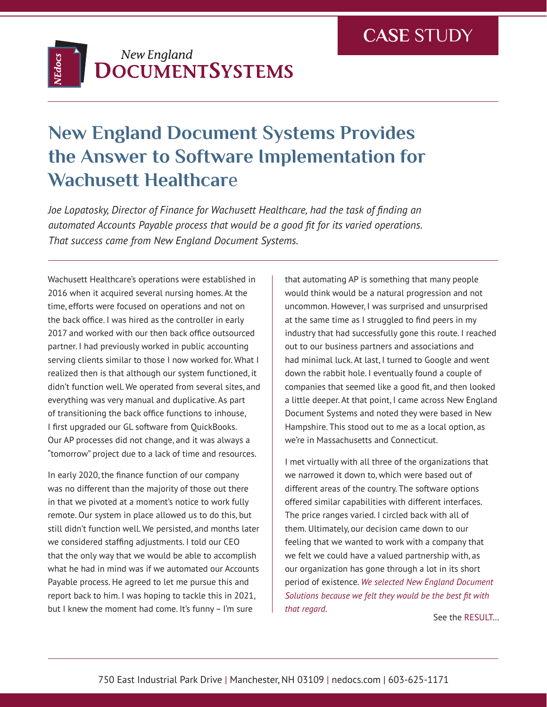

## **New England Document Systems Provides the Answer to Software Implementation for Wachusett Healthcar**e

*Joe Lopatosky, Director of Finance for Wachusett Healthcare, had the task of finding an automated Accounts Payable process that would be a good fit for its varied operations. That success came from New England Document Systems.*

Wachusett Healthcare's operations were established in 2016 when it acquired several nursing homes. At the time, efforts were focused on operations and not on the back office. I was hired as the controller in early 2017 and worked with our then back office outsourced partner. I had previously worked in public accounting serving clients similar to those I now worked for. What I realized then is that although our system functioned, it didn't function well. We operated from several sites, and everything was very manual and duplicative. As part of transitioning the back office functions to inhouse, I first upgraded our GL software from QuickBooks. Our AP processes did not change, and it was always a "tomorrow" project due to a lack of time and resources.

In early 2020, the finance function of our company was no different than the majority of those out there in that we pivoted at a moment's notice to work fully remote. Our system in place allowed us to do this, but still didn't function well. We persisted, and months later we considered staffing adjustments. I told our CEO that the only way that we would be able to accomplish what he had in mind was if we automated our Accounts Payable process. He agreed to let me pursue this and report back to him. I was hoping to tackle this in 2021, but I knew the moment had come. It's funny – I'm sure

that automating AP is something that many people would think would be a natural progression and not uncommon. However, I was surprised and unsurprised at the same time as I struggled to find peers in my industry that had successfully gone this route. I reached out to our business partners and associations and had minimal luck. At last, I turned to Google and went down the rabbit hole. I eventually found a couple of companies that seemed like a good fit, and then looked a little deeper. At that point, I came across New England Document Systems and noted they were based in New Hampshire. This stood out to me as a local option, as we're in Massachusetts and Connecticut.

I met virtually with all three of the organizations that we narrowed it down to, which were based out of different areas of the country. The software options offered similar capabilities with different interfaces. The price ranges varied. I circled back with all of them. Ultimately, our decision came down to our feeling that we wanted to work with a company that we felt we could have a valued partnership with, as our organization has gone through a lot in its short period of existence. *We selected New England Document Solutions because we felt they would be the best fit with that regard.*

See the RESULT…